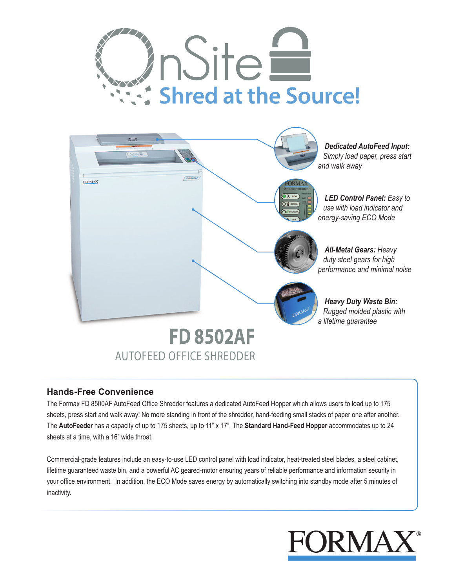



# **Hands-Free Convenience**

The Formax FD 8500AF AutoFeed Office Shredder features a dedicated AutoFeed Hopper which allows users to load up to 175 sheets, press start and walk away! No more standing in front of the shredder, hand-feeding small stacks of paper one after another. The **AutoFeeder** has a capacity of up to 175 sheets, up to 11" x 17". The **Standard Hand-Feed Hopper** accommodates up to 24 sheets at a time, with a 16" wide throat.

Commercial-grade features include an easy-to-use LED control panel with load indicator, heat-treated steel blades, a steel cabinet, lifetime guaranteed waste bin, and a powerful AC geared-motor ensuring years of reliable performance and information security in your office environment. In addition, the ECO Mode saves energy by automatically switching into standby mode after 5 minutes of inactivity.